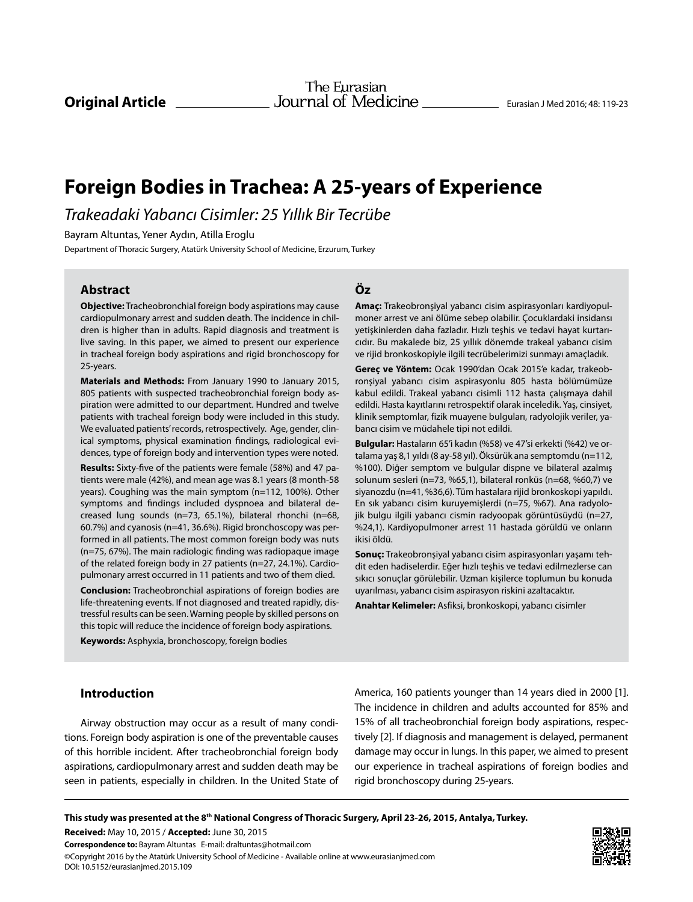# **Foreign Bodies in Trachea: A 25-years of Experience**

*Trakeadaki Yabancı Cisimler: 25 Yıllık Bir Tecrübe*

Bayram Altuntas, Yener Aydın, Atilla Eroglu

Department of Thoracic Surgery, Atatürk University School of Medicine, Erzurum, Turkey

## **Abstract**

**Objective:** Tracheobronchial foreign body aspirations may cause cardiopulmonary arrest and sudden death. The incidence in children is higher than in adults. Rapid diagnosis and treatment is live saving. In this paper, we aimed to present our experience in tracheal foreign body aspirations and rigid bronchoscopy for 25-years.

**Materials and Methods:** From January 1990 to January 2015, 805 patients with suspected tracheobronchial foreign body aspiration were admitted to our department. Hundred and twelve patients with tracheal foreign body were included in this study. We evaluated patients' records, retrospectively. Age, gender, clinical symptoms, physical examination findings, radiological evidences, type of foreign body and intervention types were noted.

**Results:** Sixty-five of the patients were female (58%) and 47 patients were male (42%), and mean age was 8.1 years (8 month-58 years). Coughing was the main symptom (n=112, 100%). Other symptoms and findings included dyspnoea and bilateral decreased lung sounds (n=73, 65.1%), bilateral rhonchi (n=68, 60.7%) and cyanosis (n=41, 36.6%). Rigid bronchoscopy was performed in all patients. The most common foreign body was nuts (n=75, 67%). The main radiologic finding was radiopaque image of the related foreign body in 27 patients (n=27, 24.1%). Cardiopulmonary arrest occurred in 11 patients and two of them died.

**Conclusion:** Tracheobronchial aspirations of foreign bodies are life-threatening events. If not diagnosed and treated rapidly, distressful results can be seen. Warning people by skilled persons on this topic will reduce the incidence of foreign body aspirations.

**Keywords:** Asphyxia, bronchoscopy, foreign bodies

# **Introduction**

Airway obstruction may occur as a result of many conditions. Foreign body aspiration is one of the preventable causes of this horrible incident. After tracheobronchial foreign body aspirations, cardiopulmonary arrest and sudden death may be seen in patients, especially in children. In the United State of **Öz**

**Amaç:** Trakeobronşiyal yabancı cisim aspirasyonları kardiyopulmoner arrest ve ani ölüme sebep olabilir. Çocuklardaki insidansı yetişkinlerden daha fazladır. Hızlı teşhis ve tedavi hayat kurtarıcıdır. Bu makalede biz, 25 yıllık dönemde trakeal yabancı cisim ve rijid bronkoskopiyle ilgili tecrübelerimizi sunmayı amaçladık.

**Gereç ve Yöntem:** Ocak 1990'dan Ocak 2015'e kadar, trakeobronşiyal yabancı cisim aspirasyonlu 805 hasta bölümümüze kabul edildi. Trakeal yabancı cisimli 112 hasta çalışmaya dahil edildi. Hasta kayıtlarını retrospektif olarak inceledik. Yaş, cinsiyet, klinik semptomlar, fizik muayene bulguları, radyolojik veriler, yabancı cisim ve müdahele tipi not edildi.

**Bulgular:** Hastaların 65'i kadın (%58) ve 47'si erkekti (%42) ve ortalama yaş 8,1 yıldı (8 ay-58 yıl). Öksürük ana semptomdu (n=112, %100). Diğer semptom ve bulgular dispne ve bilateral azalmış solunum sesleri (n=73, %65,1), bilateral ronküs (n=68, %60,7) ve siyanozdu (n=41, %36,6). Tüm hastalara rijid bronkoskopi yapıldı. En sık yabancı cisim kuruyemişlerdi (n=75, %67). Ana radyolojik bulgu ilgili yabancı cismin radyoopak görüntüsüydü (n=27, %24,1). Kardiyopulmoner arrest 11 hastada görüldü ve onların ikisi öldü.

**Sonuç:** Trakeobronşiyal yabancı cisim aspirasyonları yaşamı tehdit eden hadiselerdir. Eğer hızlı teşhis ve tedavi edilmezlerse can sıkıcı sonuçlar görülebilir. Uzman kişilerce toplumun bu konuda uyarılması, yabancı cisim aspirasyon riskini azaltacaktır.

**Anahtar Kelimeler:** Asfiksi, bronkoskopi, yabancı cisimler

America, 160 patients younger than 14 years died in 2000 [1]. The incidence in children and adults accounted for 85% and 15% of all tracheobronchial foreign body aspirations, respectively [2]. If diagnosis and management is delayed, permanent damage may occur in lungs. In this paper, we aimed to present our experience in tracheal aspirations of foreign bodies and rigid bronchoscopy during 25-years.

**This study was presented at the 8th National Congress of Thoracic Surgery, April 23-26, 2015, Antalya, Turkey.**

**Correspondence to:** Bayram Altuntas E-mail: draltuntas@hotmail.com ©Copyright 2016 by the Atatürk University School of Medicine - Available online at www.eurasianjmed.com DOI: 10.5152/eurasianjmed.2015.109 **Received:** May 10, 2015 / **Accepted:** June 30, 2015

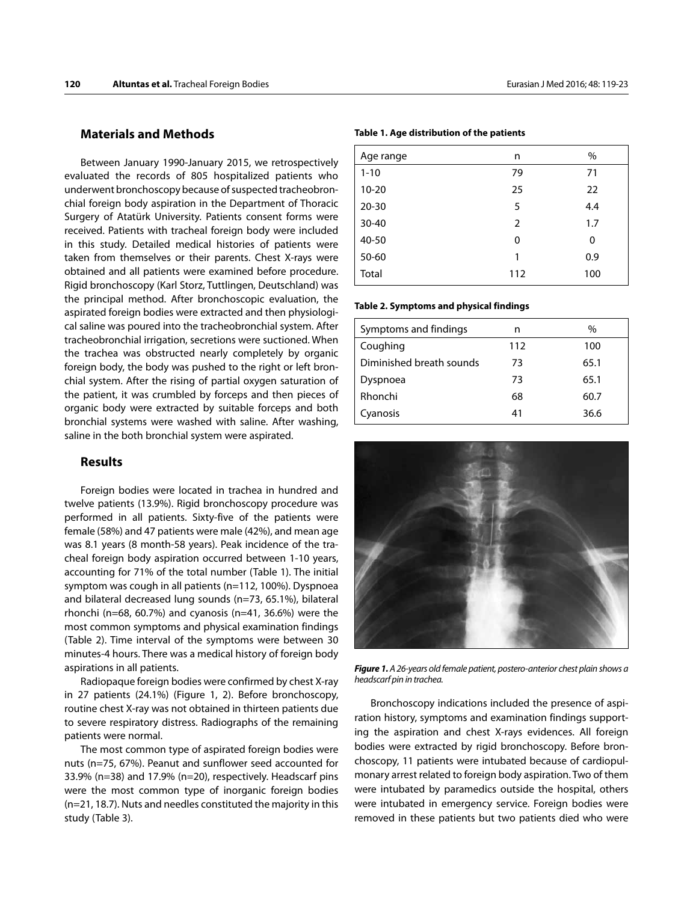### **Materials and Methods**

Between January 1990-January 2015, we retrospectively evaluated the records of 805 hospitalized patients who underwent bronchoscopy because of suspected tracheobronchial foreign body aspiration in the Department of Thoracic Surgery of Atatürk University. Patients consent forms were received. Patients with tracheal foreign body were included in this study. Detailed medical histories of patients were taken from themselves or their parents. Chest X-rays were obtained and all patients were examined before procedure. Rigid bronchoscopy (Karl Storz, Tuttlingen, Deutschland) was the principal method. After bronchoscopic evaluation, the aspirated foreign bodies were extracted and then physiological saline was poured into the tracheobronchial system. After tracheobronchial irrigation, secretions were suctioned. When the trachea was obstructed nearly completely by organic foreign body, the body was pushed to the right or left bronchial system. After the rising of partial oxygen saturation of the patient, it was crumbled by forceps and then pieces of organic body were extracted by suitable forceps and both bronchial systems were washed with saline. After washing, saline in the both bronchial system were aspirated.

#### **Results**

Foreign bodies were located in trachea in hundred and twelve patients (13.9%). Rigid bronchoscopy procedure was performed in all patients. Sixty-five of the patients were female (58%) and 47 patients were male (42%), and mean age was 8.1 years (8 month-58 years). Peak incidence of the tracheal foreign body aspiration occurred between 1-10 years, accounting for 71% of the total number (Table 1). The initial symptom was cough in all patients (n=112, 100%). Dyspnoea and bilateral decreased lung sounds (n=73, 65.1%), bilateral rhonchi (n=68, 60.7%) and cyanosis (n=41, 36.6%) were the most common symptoms and physical examination findings (Table 2). Time interval of the symptoms were between 30 minutes-4 hours. There was a medical history of foreign body aspirations in all patients.

Radiopaque foreign bodies were confirmed by chest X-ray in 27 patients (24.1%) (Figure 1, 2). Before bronchoscopy, routine chest X-ray was not obtained in thirteen patients due to severe respiratory distress. Radiographs of the remaining patients were normal.

The most common type of aspirated foreign bodies were nuts (n=75, 67%). Peanut and sunflower seed accounted for 33.9% (n=38) and 17.9% (n=20), respectively. Headscarf pins were the most common type of inorganic foreign bodies (n=21, 18.7). Nuts and needles constituted the majority in this study (Table 3).

**Table 1. Age distribution of the patients** 

| Age range | n              | %   |
|-----------|----------------|-----|
| $1 - 10$  | 79             | 71  |
| $10 - 20$ | 25             | 22  |
| $20 - 30$ | 5              | 4.4 |
| $30 - 40$ | $\overline{2}$ | 1.7 |
| 40-50     | 0              | 0   |
| 50-60     | 1              | 0.9 |
| Total     | 112            | 100 |

#### **Table 2. Symptoms and physical findings**

| Symptoms and findings    | n   | $\%$ |
|--------------------------|-----|------|
| Coughing                 | 112 | 100  |
| Diminished breath sounds | 73  | 65.1 |
| Dyspnoea                 | 73  | 65.1 |
| Rhonchi                  | 68  | 60.7 |
| Cyanosis                 | 41  | 36.6 |



*Figure 1. A 26-years old female patient, postero-anterior chest plain shows a headscarf pin in trachea.*

Bronchoscopy indications included the presence of aspiration history, symptoms and examination findings supporting the aspiration and chest X-rays evidences. All foreign bodies were extracted by rigid bronchoscopy. Before bronchoscopy, 11 patients were intubated because of cardiopulmonary arrest related to foreign body aspiration. Two of them were intubated by paramedics outside the hospital, others were intubated in emergency service. Foreign bodies were removed in these patients but two patients died who were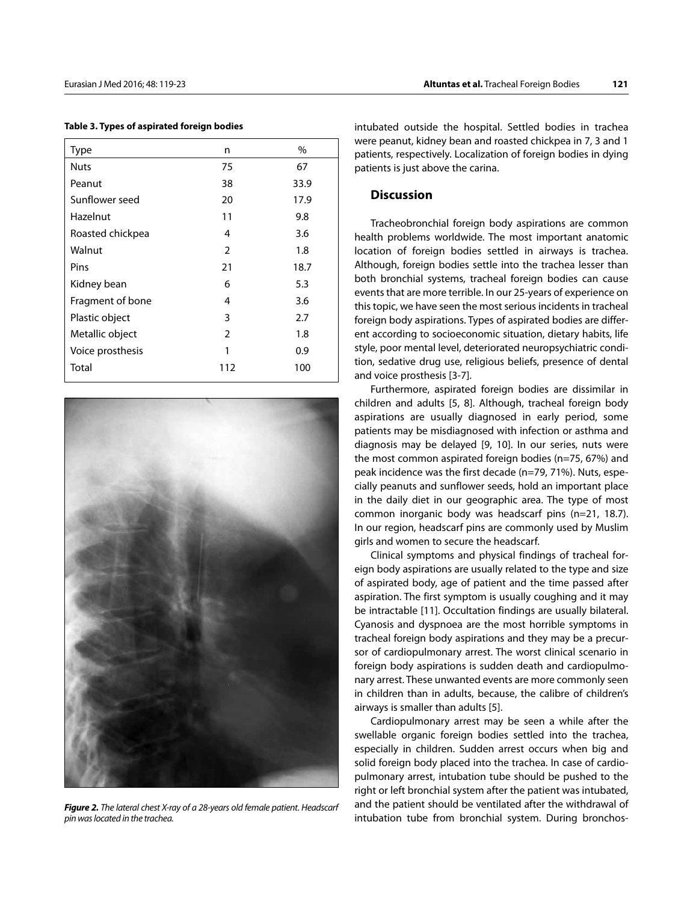| Type             | n              | %    |
|------------------|----------------|------|
| <b>Nuts</b>      | 75             | 67   |
| Peanut           | 38             | 33.9 |
| Sunflower seed   | 20             | 17.9 |
| Hazelnut         | 11             | 9.8  |
| Roasted chickpea | 4              | 3.6  |
| Walnut           | 2              | 1.8  |
| Pins             | 21             | 18.7 |
| Kidney bean      | 6              | 5.3  |
| Fragment of bone | 4              | 3.6  |
| Plastic object   | 3              | 2.7  |
| Metallic object  | $\overline{2}$ | 1.8  |
| Voice prosthesis | 1              | 0.9  |
| Total            | 112            | 100  |

**Table 3. Types of aspirated foreign bodies**



*Figure 2. The lateral chest X-ray of a 28-years old female patient. Headscarf pin was located in the trachea.*

intubated outside the hospital. Settled bodies in trachea were peanut, kidney bean and roasted chickpea in 7, 3 and 1 patients, respectively. Localization of foreign bodies in dying patients is just above the carina.

#### **Discussion**

Tracheobronchial foreign body aspirations are common health problems worldwide. The most important anatomic location of foreign bodies settled in airways is trachea. Although, foreign bodies settle into the trachea lesser than both bronchial systems, tracheal foreign bodies can cause events that are more terrible. In our 25-years of experience on this topic, we have seen the most serious incidents in tracheal foreign body aspirations. Types of aspirated bodies are different according to socioeconomic situation, dietary habits, life style, poor mental level, deteriorated neuropsychiatric condition, sedative drug use, religious beliefs, presence of dental and voice prosthesis [3-7].

Furthermore, aspirated foreign bodies are dissimilar in children and adults [5, 8]. Although, tracheal foreign body aspirations are usually diagnosed in early period, some patients may be misdiagnosed with infection or asthma and diagnosis may be delayed [9, 10]. In our series, nuts were the most common aspirated foreign bodies (n=75, 67%) and peak incidence was the first decade (n=79, 71%). Nuts, especially peanuts and sunflower seeds, hold an important place in the daily diet in our geographic area. The type of most common inorganic body was headscarf pins (n=21, 18.7). In our region, headscarf pins are commonly used by Muslim girls and women to secure the headscarf.

Clinical symptoms and physical findings of tracheal foreign body aspirations are usually related to the type and size of aspirated body, age of patient and the time passed after aspiration. The first symptom is usually coughing and it may be intractable [11]. Occultation findings are usually bilateral. Cyanosis and dyspnoea are the most horrible symptoms in tracheal foreign body aspirations and they may be a precursor of cardiopulmonary arrest. The worst clinical scenario in foreign body aspirations is sudden death and cardiopulmonary arrest. These unwanted events are more commonly seen in children than in adults, because, the calibre of children's airways is smaller than adults [5].

Cardiopulmonary arrest may be seen a while after the swellable organic foreign bodies settled into the trachea, especially in children. Sudden arrest occurs when big and solid foreign body placed into the trachea. In case of cardiopulmonary arrest, intubation tube should be pushed to the right or left bronchial system after the patient was intubated, and the patient should be ventilated after the withdrawal of intubation tube from bronchial system. During bronchos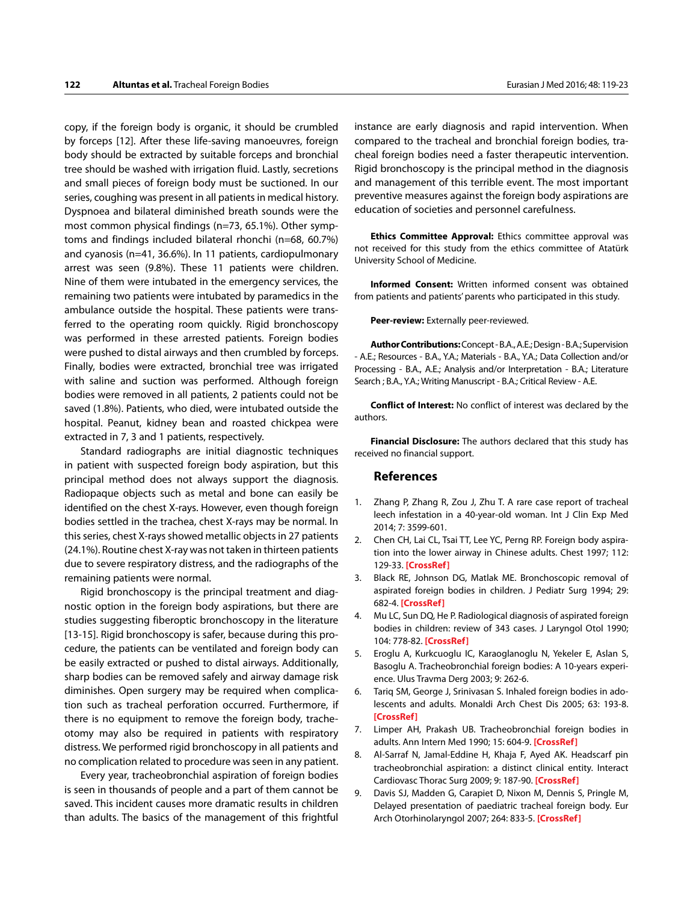copy, if the foreign body is organic, it should be crumbled by forceps [12]. After these life-saving manoeuvres, foreign body should be extracted by suitable forceps and bronchial tree should be washed with irrigation fluid. Lastly, secretions and small pieces of foreign body must be suctioned. In our series, coughing was present in all patients in medical history. Dyspnoea and bilateral diminished breath sounds were the most common physical findings (n=73, 65.1%). Other symptoms and findings included bilateral rhonchi (n=68, 60.7%) and cyanosis (n=41, 36.6%). In 11 patients, cardiopulmonary arrest was seen (9.8%). These 11 patients were children. Nine of them were intubated in the emergency services, the remaining two patients were intubated by paramedics in the ambulance outside the hospital. These patients were transferred to the operating room quickly. Rigid bronchoscopy was performed in these arrested patients. Foreign bodies were pushed to distal airways and then crumbled by forceps. Finally, bodies were extracted, bronchial tree was irrigated with saline and suction was performed. Although foreign bodies were removed in all patients, 2 patients could not be saved (1.8%). Patients, who died, were intubated outside the hospital. Peanut, kidney bean and roasted chickpea were extracted in 7, 3 and 1 patients, respectively.

Standard radiographs are initial diagnostic techniques in patient with suspected foreign body aspiration, but this principal method does not always support the diagnosis. Radiopaque objects such as metal and bone can easily be identified on the chest X-rays. However, even though foreign bodies settled in the trachea, chest X-rays may be normal. In this series, chest X-rays showed metallic objects in 27 patients (24.1%). Routine chest X-ray was not taken in thirteen patients due to severe respiratory distress, and the radiographs of the remaining patients were normal.

Rigid bronchoscopy is the principal treatment and diagnostic option in the foreign body aspirations, but there are studies suggesting fiberoptic bronchoscopy in the literature [13-15]. Rigid bronchoscopy is safer, because during this procedure, the patients can be ventilated and foreign body can be easily extracted or pushed to distal airways. Additionally, sharp bodies can be removed safely and airway damage risk diminishes. Open surgery may be required when complication such as tracheal perforation occurred. Furthermore, if there is no equipment to remove the foreign body, tracheotomy may also be required in patients with respiratory distress. We performed rigid bronchoscopy in all patients and no complication related to procedure was seen in any patient.

Every year, tracheobronchial aspiration of foreign bodies is seen in thousands of people and a part of them cannot be saved. This incident causes more dramatic results in children than adults. The basics of the management of this frightful instance are early diagnosis and rapid intervention. When compared to the tracheal and bronchial foreign bodies, tracheal foreign bodies need a faster therapeutic intervention. Rigid bronchoscopy is the principal method in the diagnosis and management of this terrible event. The most important preventive measures against the foreign body aspirations are education of societies and personnel carefulness.

**Ethics Committee Approval:** Ethics committee approval was not received for this study from the ethics committee of Atatürk University School of Medicine.

**Informed Consent:** Written informed consent was obtained from patients and patients' parents who participated in this study.

**Peer-review:** Externally peer-reviewed.

**Author Contributions:** Concept - B.A., A.E.; Design - B.A.; Supervision - A.E.; Resources - B.A., Y.A.; Materials - B.A., Y.A.; Data Collection and/or Processing - B.A., A.E.; Analysis and/or Interpretation - B.A.; Literature Search ; B.A., Y.A.; Writing Manuscript - B.A.; Critical Review - A.E.

**Conflict of Interest:** No conflict of interest was declared by the authors.

**Financial Disclosure:** The authors declared that this study has received no financial support.

#### **References**

- 1. Zhang P, Zhang R, Zou J, Zhu T. A rare case report of tracheal leech infestation in a 40-year-old woman. Int J Clin Exp Med 2014; 7: 3599-601.
- 2. Chen CH, Lai CL, Tsai TT, Lee YC, Perng RP. Foreign body aspiration into the lower airway in Chinese adults. Chest 1997; 112: 129-33. **[\[CrossRef\]](http://dx.doi.org/10.1378/chest.112.1.129)**
- 3. Black RE, Johnson DG, Matlak ME. Bronchoscopic removal of aspirated foreign bodies in children. J Pediatr Surg 1994; 29: 682-4. **[\[CrossRef\]](http://dx.doi.org/10.1016/0022-3468(94)90740-4)**
- 4. Mu LC, Sun DQ, He P. Radiological diagnosis of aspirated foreign bodies in children: review of 343 cases. J Laryngol Otol 1990; 104: 778-82. **[\[CrossRef\]](http://dx.doi.org/10.1017/S0022215100113891)**
- 5. Eroglu A, Kurkcuoglu IC, Karaoglanoglu N, Yekeler E, Aslan S, Basoglu A. Tracheobronchial foreign bodies: A 10-years experience. Ulus Travma Derg 2003; 9: 262-6.
- 6. Tariq SM, George J, Srinivasan S. Inhaled foreign bodies in adolescents and adults. Monaldi Arch Chest Dis 2005; 63: 193-8. **[\[CrossRef\]](http://dx.doi.org/10.4081/monaldi.2005.620)**
- 7. Limper AH, Prakash UB. Tracheobronchial foreign bodies in adults. Ann Intern Med 1990; 15: 604-9. **[\[CrossRef](http://dx.doi.org/10.7326/0003-4819-112-8-604)]**
- 8. Al-Sarraf N, Jamal-Eddine H, Khaja F, Ayed AK. Headscarf pin tracheobronchial aspiration: a distinct clinical entity. Interact Cardiovasc Thorac Surg 2009; 9: 187-90. **[\[CrossRef\]](http://dx.doi.org/10.1510/icvts.2009.207548)**
- 9. Davis SJ, Madden G, Carapiet D, Nixon M, Dennis S, Pringle M, Delayed presentation of paediatric tracheal foreign body. Eur Arch Otorhinolaryngol 2007; 264: 833-5. **[\[CrossRef\]](http://dx.doi.org/10.1007/s00405-007-0250-z)**